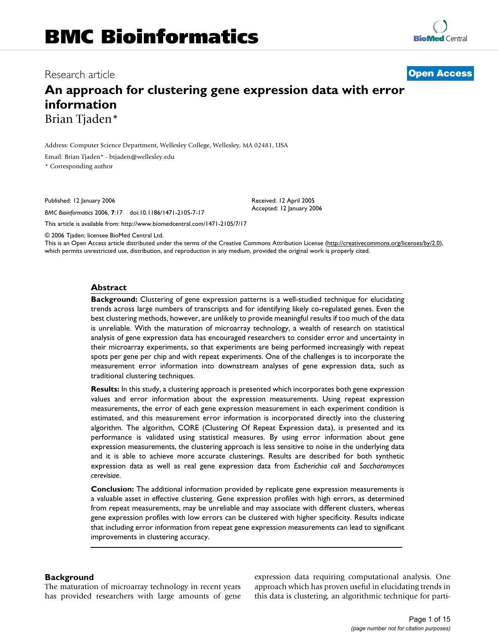# Research article **[Open Access](http://www.biomedcentral.com/info/about/charter/)**

# **An approach for clustering gene expression data with error information** Brian Tjaden\*

Address: Computer Science Department, Wellesley College, Wellesley, MA 02481, USA

Email: Brian Tjaden\* - btjaden@wellesley.edu

\* Corresponding author

Published: 12 January 2006

*BMC Bioinformatics* 2006, **7**:17 doi:10.1186/1471-2105-7-17

[This article is available from: http://www.biomedcentral.com/1471-2105/7/17](http://www.biomedcentral.com/1471-2105/7/17)

© 2006 Tjaden; licensee BioMed Central Ltd.

This is an Open Access article distributed under the terms of the Creative Commons Attribution License [\(http://creativecommons.org/licenses/by/2.0\)](http://creativecommons.org/licenses/by/2.0), which permits unrestricted use, distribution, and reproduction in any medium, provided the original work is properly cited.

Received: 12 April 2005 Accepted: 12 January 2006

# **Abstract**

**Background:** Clustering of gene expression patterns is a well-studied technique for elucidating trends across large numbers of transcripts and for identifying likely co-regulated genes. Even the best clustering methods, however, are unlikely to provide meaningful results if too much of the data is unreliable. With the maturation of microarray technology, a wealth of research on statistical analysis of gene expression data has encouraged researchers to consider error and uncertainty in their microarray experiments, so that experiments are being performed increasingly with repeat spots per gene per chip and with repeat experiments. One of the challenges is to incorporate the measurement error information into downstream analyses of gene expression data, such as traditional clustering techniques.

**Results:** In this study, a clustering approach is presented which incorporates both gene expression values and error information about the expression measurements. Using repeat expression measurements, the error of each gene expression measurement in each experiment condition is estimated, and this measurement error information is incorporated directly into the clustering algorithm. The algorithm, CORE (Clustering Of Repeat Expression data), is presented and its performance is validated using statistical measures. By using error information about gene expression measurements, the clustering approach is less sensitive to noise in the underlying data and it is able to achieve more accurate clusterings. Results are described for both synthetic expression data as well as real gene expression data from *Escherichia coli* and *Saccharomyces cerevisiae*.

**Conclusion:** The additional information provided by replicate gene expression measurements is a valuable asset in effective clustering. Gene expression profiles with high errors, as determined from repeat measurements, may be unreliable and may associate with different clusters, whereas gene expression profiles with low errors can be clustered with higher specificity. Results indicate that including error information from repeat gene expression measurements can lead to significant improvements in clustering accuracy.

# **Background**

The maturation of microarray technology in recent years has provided researchers with large amounts of gene expression data requiring computational analysis. One approach which has proven useful in elucidating trends in this data is clustering, an algorithmic technique for parti-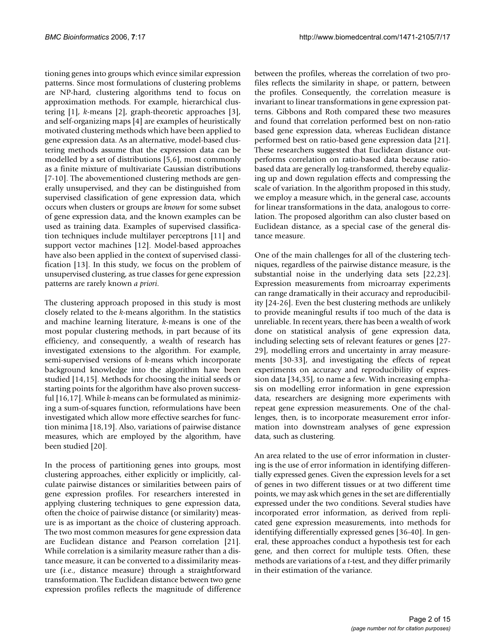tioning genes into groups which evince similar expression patterns. Since most formulations of clustering problems are NP-hard, clustering algorithms tend to focus on approximation methods. For example, hierarchical clustering [1], *k*-means [2], graph-theoretic approaches [3], and self-organizing maps [4] are examples of heuristically motivated clustering methods which have been applied to gene expression data. As an alternative, model-based clustering methods assume that the expression data can be modelled by a set of distributions [5,6], most commonly as a finite mixture of multivariate Gaussian distributions [7-10]. The abovementioned clustering methods are generally unsupervised, and they can be distinguished from supervised classification of gene expression data, which occurs when clusters or groups are *known* for some subset of gene expression data, and the known examples can be used as training data. Examples of supervised classification techniques include multilayer perceptrons [11] and support vector machines [12]. Model-based approaches have also been applied in the context of supervised classification [13]. In this study, we focus on the problem of unsupervised clustering, as true classes for gene expression patterns are rarely known *a priori*.

The clustering approach proposed in this study is most closely related to the *k*-means algorithm. In the statistics and machine learning literature, *k*-means is one of the most popular clustering methods, in part because of its efficiency, and consequently, a wealth of research has investigated extensions to the algorithm. For example, semi-supervised versions of *k*-means which incorporate background knowledge into the algorithm have been studied [14,15]. Methods for choosing the initial seeds or starting points for the algorithm have also proven successful [16,17]. While *k*-means can be formulated as minimizing a sum-of-squares function, reformulations have been investigated which allow more effective searches for function minima [18,19]. Also, variations of pairwise distance measures, which are employed by the algorithm, have been studied [20].

In the process of partitioning genes into groups, most clustering approaches, either explicitly or implicitly, calculate pairwise distances or similarities between pairs of gene expression profiles. For researchers interested in applying clustering techniques to gene expression data, often the choice of pairwise distance (or similarity) measure is as important as the choice of clustering approach. The two most common measures for gene expression data are Euclidean distance and Pearson correlation [21]. While correlation is a similarity measure rather than a distance measure, it can be converted to a dissimilarity measure (i.e., distance measure) through a straightforward transformation. The Euclidean distance between two gene expression profiles reflects the magnitude of difference between the profiles, whereas the correlation of two profiles reflects the similarity in shape, or pattern, between the profiles. Consequently, the correlation measure is invariant to linear transformations in gene expression patterns. Gibbons and Roth compared these two measures and found that correlation performed best on non-ratio based gene expression data, whereas Euclidean distance performed best on ratio-based gene expression data [21]. These researchers suggested that Euclidean distance outperforms correlation on ratio-based data because ratiobased data are generally log-transformed, thereby equalizing up and down regulation effects and compressing the scale of variation. In the algorithm proposed in this study, we employ a measure which, in the general case, accounts for linear transformations in the data, analogous to correlation. The proposed algorithm can also cluster based on Euclidean distance, as a special case of the general distance measure.

One of the main challenges for all of the clustering techniques, regardless of the pairwise distance measure, is the substantial noise in the underlying data sets [22,23]. Expression measurements from microarray experiments can range dramatically in their accuracy and reproducibility [24-26]. Even the best clustering methods are unlikely to provide meaningful results if too much of the data is unreliable. In recent years, there has been a wealth of work done on statistical analysis of gene expression data, including selecting sets of relevant features or genes [27- 29], modelling errors and uncertainty in array measurements [30-33], and investigating the effects of repeat experiments on accuracy and reproducibility of expression data [34,35], to name a few. With increasing emphasis on modelling error information in gene expression data, researchers are designing more experiments with repeat gene expression measurements. One of the challenges, then, is to incorporate measurement error information into downstream analyses of gene expression data, such as clustering.

An area related to the use of error information in clustering is the use of error information in identifying differentially expressed genes. Given the expression levels for a set of genes in two different tissues or at two different time points, we may ask which genes in the set are differentially expressed under the two conditions. Several studies have incorporated error information, as derived from replicated gene expression measurements, into methods for identifying differentially expressed genes [36-40]. In general, these approaches conduct a hypothesis test for each gene, and then correct for multiple tests. Often, these methods are variations of a *t*-test, and they differ primarily in their estimation of the variance.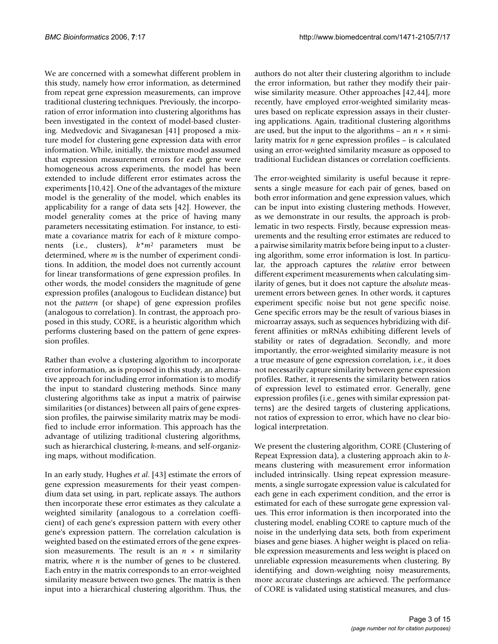We are concerned with a somewhat different problem in this study, namely how error information, as determined from repeat gene expression measurements, can improve traditional clustering techniques. Previously, the incorporation of error information into clustering algorithms has been investigated in the context of model-based clustering. Medvedovic and Sivaganesan [41] proposed a mixture model for clustering gene expression data with error information. While, initially, the mixture model assumed that expression measurement errors for each gene were homogeneous across experiments, the model has been extended to include different error estimates across the experiments [10,42]. One of the advantages of the mixture model is the generality of the model, which enables its applicability for a range of data sets [42]. However, the model generality comes at the price of having many parameters necessitating estimation. For instance, to estimate a covariance matrix for each of *k* mixture components (i.e., clusters), *k\*m*2 parameters must be determined, where *m* is the number of experiment conditions. In addition, the model does not currently account for linear transformations of gene expression profiles. In other words, the model considers the magnitude of gene expression profiles (analogous to Euclidean distance) but not the *pattern* (or shape) of gene expression profiles (analogous to correlation). In contrast, the approach proposed in this study, CORE, is a heuristic algorithm which performs clustering based on the pattern of gene expression profiles.

Rather than evolve a clustering algorithm to incorporate error information, as is proposed in this study, an alternative approach for including error information is to modify the input to standard clustering methods. Since many clustering algorithms take as input a matrix of pairwise similarities (or distances) between all pairs of gene expression profiles, the pairwise similarity matrix may be modified to include error information. This approach has the advantage of utilizing traditional clustering algorithms, such as hierarchical clustering, *k*-means, and self-organizing maps, without modification.

In an early study, Hughes *et al*. [43] estimate the errors of gene expression measurements for their yeast compendium data set using, in part, replicate assays. The authors then incorporate these error estimates as they calculate a weighted similarity (analogous to a correlation coefficient) of each gene's expression pattern with every other gene's expression pattern. The correlation calculation is weighted based on the estimated errors of the gene expression measurements. The result is an  $n \times n$  similarity matrix, where *n* is the number of genes to be clustered. Each entry in the matrix corresponds to an error-weighted similarity measure between two genes. The matrix is then input into a hierarchical clustering algorithm. Thus, the authors do not alter their clustering algorithm to include the error information, but rather they modify their pairwise similarity measure. Other approaches [42,44], more recently, have employed error-weighted similarity measures based on replicate expression assays in their clustering applications. Again, traditional clustering algorithms are used, but the input to the algorithms – an  $n \times n$  similarity matrix for *n* gene expression profiles – is calculated using an error-weighted similarity measure as opposed to traditional Euclidean distances or correlation coefficients.

The error-weighted similarity is useful because it represents a single measure for each pair of genes, based on both error information and gene expression values, which can be input into existing clustering methods. However, as we demonstrate in our results, the approach is problematic in two respects. Firstly, because expression measurements and the resulting error estimates are reduced to a pairwise similarity matrix before being input to a clustering algorithm, some error information is lost. In particular, the approach captures the *relative* error between different experiment measurements when calculating similarity of genes, but it does not capture the *absolute* measurement errors between genes. In other words, it captures experiment specific noise but not gene specific noise. Gene specific errors may be the result of various biases in microarray assays, such as sequences hybridizing with different affinities or mRNAs exhibiting different levels of stability or rates of degradation. Secondly, and more importantly, the error-weighted similarity measure is not a true measure of gene expression correlation, i.e., it does not necessarily capture similarity between gene expression profiles. Rather, it represents the similarity between ratios of expression level to estimated error. Generally, gene expression profiles (i.e., genes with similar expression patterns) are the desired targets of clustering applications, not ratios of expression to error, which have no clear biological interpretation.

We present the clustering algorithm, CORE (Clustering of Repeat Expression data), a clustering approach akin to *k*means clustering with measurement error information included intrinsically. Using repeat expression measurements, a single surrogate expression value is calculated for each gene in each experiment condition, and the error is estimated for each of these surrogate gene expression values. This error information is then incorporated into the clustering model, enabling CORE to capture much of the noise in the underlying data sets, both from experiment biases and gene biases. A higher weight is placed on reliable expression measurements and less weight is placed on unreliable expression measurements when clustering. By identifying and down-weighting noisy measurements, more accurate clusterings are achieved. The performance of CORE is validated using statistical measures, and clus-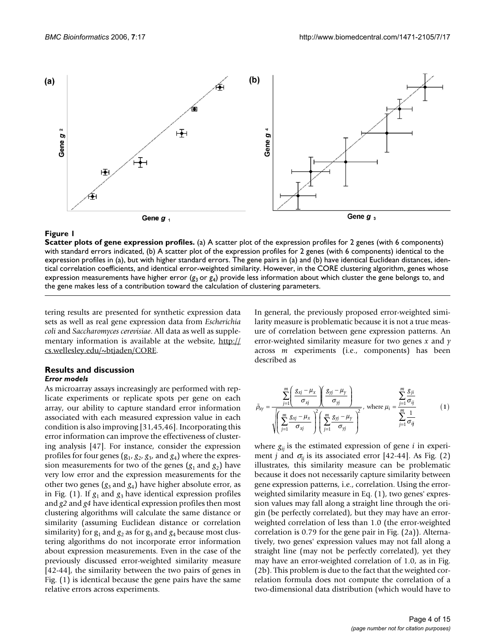

**Scatter plots of gene expression profiles.** (a) A scatter plot of the expression profiles for 2 genes (with 6 components) with standard errors indicated, (b) A scatter plot of the expression profiles for 2 genes (with 6 components) identical to the expression profiles in (a), but with higher standard errors. The gene pairs in (a) and (b) have identical Euclidean distances, identical correlation coefficients, and identical error-weighted similarity. However, in the CORE clustering algorithm, genes whose expression measurements have higher error ( $g_3$  or  $g_4$ ) provide less information about which cluster the gene belongs to, and the gene makes less of a contribution toward the calculation of clustering parameters.

tering results are presented for synthetic expression data sets as well as real gene expression data from *Escherichia coli* and *Saccharomyces cerevisiae*. All data as well as supplementary information is available at the website, [http://](http://cs.wellesley.edu/~btjaden/CORE) [cs.wellesley.edu/~btjaden/CORE](http://cs.wellesley.edu/~btjaden/CORE).

# **Results and discussion** *Error models*

As microarray assays increasingly are performed with replicate experiments or replicate spots per gene on each array, our ability to capture standard error information associated with each measured expression value in each condition is also improving [31,45,46]. Incorporating this error information can improve the effectiveness of clustering analysis [47]. For instance, consider the expression profiles for four genes ( $g_1$ ,  $g_2$ ,  $g_3$ , and  $g_4$ ) where the expression measurements for two of the genes  $(g_1 \text{ and } g_2)$  have very low error and the expression measurements for the other two genes  $(g_3 \text{ and } g_4)$  have higher absolute error, as in Fig. (1). If  $g_1$  and  $g_3$  have identical expression profiles and *g2* and *g4* have identical expression profiles then most clustering algorithms will calculate the same distance or similarity (assuming Euclidean distance or correlation similarity) for  $g_1$  and  $g_2$  as for  $g_3$  and  $g_4$  because most clustering algorithms do not incorporate error information about expression measurements. Even in the case of the previously discussed error-weighted similarity measure [42-44], the similarity between the two pairs of genes in Fig. (1) is identical because the gene pairs have the same relative errors across experiments.

In general, the previously proposed error-weighted similarity measure is problematic because it is not a true measure of correlation between gene expression patterns. An error-weighted similarity measure for two genes *x* and *y* across *m* experiments (i.e., components) has been described as

$$
\tilde{\rho}_{xy} = \frac{\sum_{j=1}^{m} \left( \frac{g_{xj} - \mu_x}{\sigma_{xj}} \right) \left( \frac{g_{yj} - \mu_y}{\sigma_{yj}} \right)}{\sqrt{\left( \sum_{j=1}^{m} \frac{g_{xj} - \mu_x}{\sigma_{xj}} \right)^2 \left( \sum_{j=1}^{m} \frac{g_{yj} - \mu_y}{\sigma_{yj}} \right)^2}}, \text{ where } \mu_i = \frac{\sum_{j=1}^{m} \frac{g_{ji}}{\sigma_{ij}}}{\sum_{j=1}^{m} \frac{1}{\sigma_{ij}}}
$$
\n(1)

where  $g_{ij}$  is the estimated expression of gene *i* in experiment *j* and  $\sigma_{ij}$  is its associated error [42-44]. As Fig. (2) illustrates, this similarity measure can be problematic because it does not necessarily capture similarity between gene expression patterns, i.e., correlation. Using the errorweighted similarity measure in Eq. (1), two genes' expression values may fall along a straight line through the origin (be perfectly correlated), but they may have an errorweighted correlation of less than 1.0 (the error-weighted correlation is 0.79 for the gene pair in Fig. (2a)). Alternatively, two genes' expression values may not fall along a straight line (may not be perfectly correlated), yet they may have an error-weighted correlation of 1.0, as in Fig. (2b). This problem is due to the fact that the weighted correlation formula does not compute the correlation of a two-dimensional data distribution (which would have to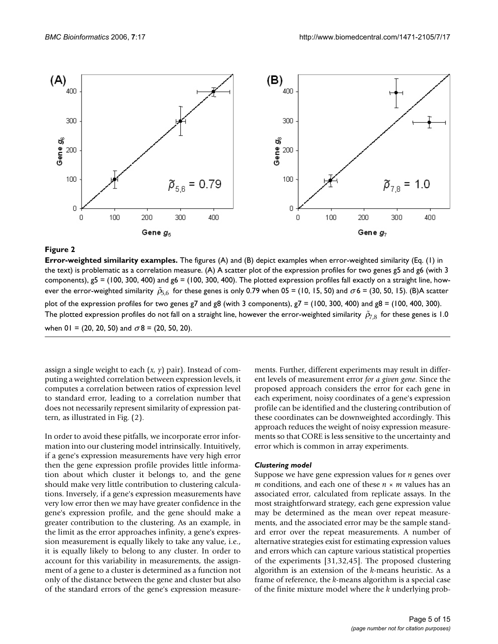

**Error-weighted similarity examples.** The figures (A) and (B) depict examples when error-weighted similarity (Eq. (1) in the text) is problematic as a correlation measure. (A) A scatter plot of the expression profiles for two genes g5 and g6 (with 3 components),  $g5 = (100, 300, 400)$  and  $g6 = (100, 300, 400)$ . The plotted expression profiles fall exactly on a straight line, however the error-weighted similarity  $\tilde{\rho}_{5,6}$  for these genes is only 0.79 when 05 = (10, 15, 50) and  $\sigma$ 6 = (30, 50, 15). (B)A scatter plot of the expression profiles for two genes g7 and g8 (with 3 components), g7 = (100, 300, 400) and g8 = (100, 400, 300). The plotted expression profiles do not fall on a straight line, however the error-weighted similarity  $\,\tilde\rho_{7,8}\,$  for these genes is 1.0 when  $01 = (20, 20, 50)$  and  $\sigma$ 8 = (20, 50, 20).

assign a single weight to each (*x, y*) pair). Instead of computing a weighted correlation between expression levels, it computes a correlation between ratios of expression level to standard error, leading to a correlation number that does not necessarily represent similarity of expression pattern, as illustrated in Fig. (2).

In order to avoid these pitfalls, we incorporate error information into our clustering model intrinsically. Intuitively, if a gene's expression measurements have very high error then the gene expression profile provides little information about which cluster it belongs to, and the gene should make very little contribution to clustering calculations. Inversely, if a gene's expression measurements have very low error then we may have greater confidence in the gene's expression profile, and the gene should make a greater contribution to the clustering. As an example, in the limit as the error approaches infinity, a gene's expression measurement is equally likely to take any value, i.e., it is equally likely to belong to any cluster. In order to account for this variability in measurements, the assignment of a gene to a cluster is determined as a function not only of the distance between the gene and cluster but also of the standard errors of the gene's expression measurements. Further, different experiments may result in different levels of measurement error *for a given gene*. Since the proposed approach considers the error for each gene in each experiment, noisy coordinates of a gene's expression profile can be identified and the clustering contribution of these coordinates can be downweighted accordingly. This approach reduces the weight of noisy expression measurements so that CORE is less sensitive to the uncertainty and error which is common in array experiments.

# *Clustering model*

Suppose we have gene expression values for *n* genes over *m* conditions, and each one of these *n × m* values has an associated error, calculated from replicate assays. In the most straightforward strategy, each gene expression value may be determined as the mean over repeat measurements, and the associated error may be the sample standard error over the repeat measurements. A number of alternative strategies exist for estimating expression values and errors which can capture various statistical properties of the experiments [31,32,45]. The proposed clustering algorithm is an extension of the *k*-means heuristic. As a frame of reference, the *k*-means algorithm is a special case of the finite mixture model where the *k* underlying prob-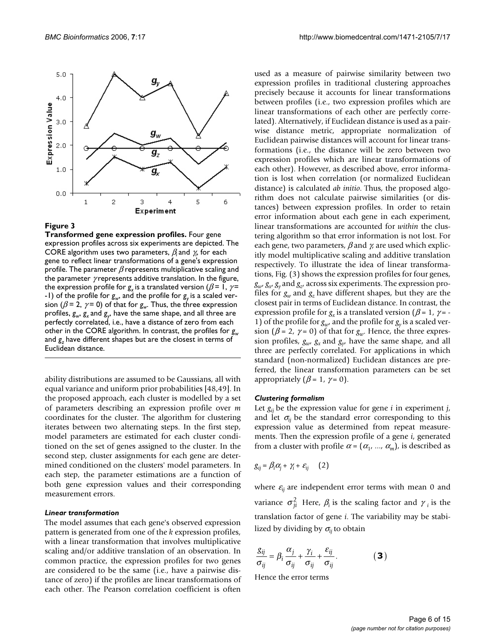

**Transformed gene expression profiles.** Four gene expression profiles across six experiments are depicted. The CORE algorithm uses two parameters,  $\beta_i$  and  $\gamma_i$  for each gene to reflect linear transformations of a gene's expression profile. The parameter  $\beta$  represents multiplicative scaling and the parameter  $\gamma$  represents additive translation. In the figure, the expression profile for  $g_x$  is a translated version ( $\beta$  = 1,  $\gamma$  = -1) of the profile for *gw*, and the profile for *gy* is a scaled version ( $\beta$  = 2,  $\gamma$  = 0) of that for  $g_w$ . Thus, the three expression profiles, *gw*, *gx* and *gy*, have the same shape, and all three are perfectly correlated, i.e., have a distance of zero from each other in the CORE algorithm. In contrast, the profiles for *gw*  and *gz* have different shapes but are the closest in terms of Euclidean distance.

ability distributions are assumed to be Gaussians, all with equal variance and uniform prior probabilities [48,49]. In the proposed approach, each cluster is modelled by a set of parameters describing an expression profile over *m* coordinates for the cluster. The algorithm for clustering iterates between two alternating steps. In the first step, model parameters are estimated for each cluster conditioned on the set of genes assigned to the cluster. In the second step, cluster assignments for each gene are determined conditioned on the clusters' model parameters. In each step, the parameter estimations are a function of both gene expression values and their corresponding measurement errors.

#### *Linear transformation*

The model assumes that each gene's observed expression pattern is generated from one of the *k* expression profiles, with a linear transformation that involves multiplicative scaling and/or additive translation of an observation. In common practice, the expression profiles for two genes are considered to be the same (i.e., have a pairwise distance of zero) if the profiles are linear transformations of each other. The Pearson correlation coefficient is often

used as a measure of pairwise similarity between two expression profiles in traditional clustering approaches precisely because it accounts for linear transformations between profiles (i.e., two expression profiles which are linear transformations of each other are perfectly correlated). Alternatively, if Euclidean distance is used as a pairwise distance metric, appropriate normalization of Euclidean pairwise distances will account for linear transformations (i.e., the distance will be zero between two expression profiles which are linear transformations of each other). However, as described above, error information is lost when correlation (or normalized Euclidean distance) is calculated *ab initio*. Thus, the proposed algorithm does not calculate pairwise similarities (or distances) between expression profiles. In order to retain error information about each gene in each experiment, linear transformations are accounted for *within* the clustering algorithm so that error information is not lost. For each gene, two parameters,  $\beta$  and  $\gamma$  are used which explicitly model multiplicative scaling and additive translation respectively. To illustrate the idea of linear transformations, Fig. (3) shows the expression profiles for four genes, *gw*, *gx*, *gy* and *gz*, across six experiments. The expression profiles for  $g_w$  and  $g_z$  have different shapes, but they are the closest pair in terms of Euclidean distance. In contrast, the expression profile for  $g_x$  is a translated version ( $\beta$  = 1,  $\gamma$  = -1) of the profile for  $g_w$ , and the profile for  $g_v$  is a scaled version ( $\beta$  = 2,  $\gamma$  = 0) of that for  $g_{\mu\nu}$ . Hence, the three expression profiles,  $g_{\mu\nu}$ ,  $g_x$  and  $g_y$ , have the same shape, and all three are perfectly correlated. For applications in which standard (non-normalized) Euclidean distances are preferred, the linear transformation parameters can be set appropriately ( $\beta = 1$ ,  $\gamma = 0$ ).

## *Clustering formalism*

Let  $g_{ii}$  be the expression value for gene *i* in experiment *j*, and let  $\sigma_{ii}$  be the standard error corresponding to this expression value as determined from repeat measurements. Then the expression profile of a gene *i*, generated from a cluster with profile  $\alpha = (\alpha_1, ..., \alpha_m)$ , is described as

$$
g_{ij} = \beta_i \alpha_j + \gamma_i + \varepsilon_{ij} \qquad (2)
$$

where  $\varepsilon_{ii}$  are independent error terms with mean 0 and variance  $\sigma_{ji}^2$  Here,  $\beta_i$  is the scaling factor and  $\gamma_i$  is the translation factor of gene *i*. The variability may be stabilized by dividing by  $\sigma_{ii}$  to obtain

$$
\frac{g_{ij}}{\sigma_{ij}} = \beta_i \frac{\alpha_j}{\sigma_{ij}} + \frac{\gamma_i}{\sigma_{ij}} + \frac{\varepsilon_{ij}}{\sigma_{ij}}.
$$
 (3)

Hence the error terms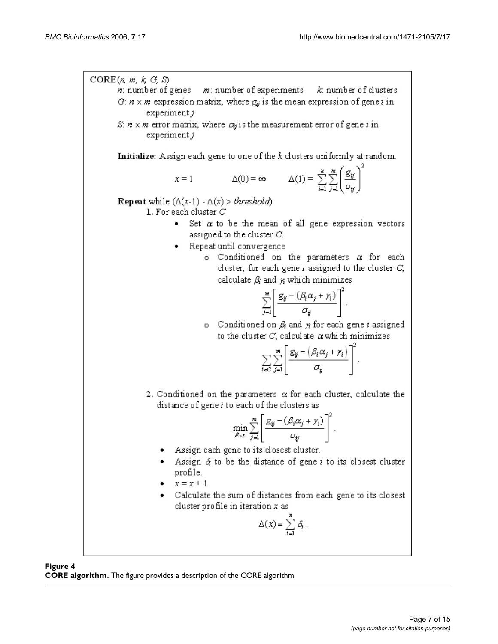CORE $(n, m, k, G, S)$  $n$ : number of genes  $m$ : number of experiments  $k$ : number of clusters G:  $n \times m$  expression matrix, where  $g_{ij}$  is the mean expression of gene i in experiment j S:  $n \times m$  error matrix, where  $\sigma_{ij}$  is the measurement error of gene i in  $experimentj$ Initialize: Assign each gene to one of the  $k$  clusters uniformly at random.  $\Delta(0) = \infty \qquad \Delta(1) = \sum_{i=1}^{n} \sum_{j=1}^{m} \left( \frac{g_{ij}}{g_{ii}} \right)^2$  $x = 1$ Repeat while  $(\Delta(x-1) - \Delta(x))$  threshold) 1. For each cluster  $C$ Set  $\alpha$  to be the mean of all gene expression vectors assigned to the cluster  $C$ . • Repeat until convergence Conditioned on the parameters  $\alpha$  for each  $\bullet$ cluster, for each gene  $i$  assigned to the cluster  $C$ , calculate  $\beta_i$  and  $y_i$  which minimizes  $\sum_{j=1}^m \left[ \frac{g_{ij} - (\beta_i \alpha_j + \gamma_i)}{\sigma_i} \right]^2.$ Conditioned on  $\beta_i$  and  $\gamma_i$  for each gene i assigned  $\circ$ to the cluster  $C$ , calculate  $\alpha$  which minimizes  $\sum_{i \in \mathcal{C}} \sum_{i=1}^{\infty} \left[ \frac{\mathcal{Z}_{ij} - (\beta_i \alpha_j + \gamma_i)}{\sigma_i} \right]^2.$ 2. Conditioned on the parameters  $\alpha$  for each cluster, calculate the distance of gene i to each of the clusters as  $\min_{\beta_i, \chi} \sum_{j=1}^m \left[ \frac{g_{ij} - (\beta_i \alpha_j + \gamma_i)}{\sigma_{ij}} \right]^2.$ • Assign each gene to its closest cluster. Assign  $\delta_i$  to be the distance of gene *i* to its closest cluster profile.  $x = x + 1$ Calculate the sum of distances from each gene to its closest cluster profile in iteration  $x$  as  $\Delta(x) = \sum_{i=1}^n \delta_i$ .

**Figure 4 CORE algorithm.** The figure provides a description of the CORE algorithm.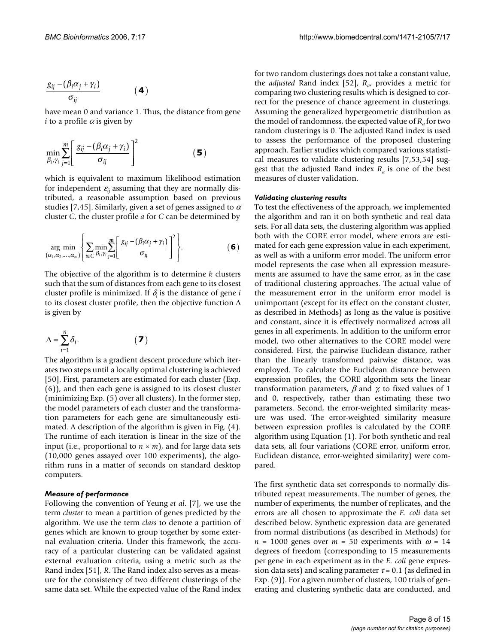$$
\frac{g_{ij} - (\beta_i \alpha_j + \gamma_i)}{\sigma_{ij}} \tag{4}
$$

have mean 0 and variance 1. Thus, the distance from gene *i* to a profile  $\alpha$  is given by

$$
\min_{\beta_i, \gamma_i} \sum_{j=1}^m \left[ \frac{g_{ij} - (\beta_i \alpha_j + \gamma_i)}{\sigma_{ij}} \right]^2 \tag{5}
$$

which is equivalent to maximum likelihood estimation for independent  $\varepsilon_{ii}$  assuming that they are normally distributed, a reasonable assumption based on previous studies [7,45]. Similarly, given a set of genes assigned to  $\alpha$ cluster *C*, the cluster profile *a* for *C* can be determined by

$$
\underset{(\alpha_1,\alpha_2,\ldots,\alpha_m)}{\arg\min} \left\{ \sum_{i\in C} \underset{\beta_i,\gamma_i}{\min} \sum_{j=1}^m \left[ \frac{g_{ij} - (\beta_i \alpha_j + \gamma_i)}{\sigma_{ij}} \right]^2 \right\}.
$$
 (6)

The objective of the algorithm is to determine *k* clusters such that the sum of distances from each gene to its closest cluster profile is minimized. If  $\delta_i$  is the distance of gene *i* to its closest cluster profile, then the objective function ∆ is given by

$$
\Delta = \sum_{i=1}^{n} \delta_i.
$$
 (7)

The algorithm is a gradient descent procedure which iterates two steps until a locally optimal clustering is achieved [50]. First, parameters are estimated for each cluster (Exp. (6)), and then each gene is assigned to its closest cluster (minimizing Exp. (5) over all clusters). In the former step, the model parameters of each cluster and the transformation parameters for each gene are simultaneously estimated. A description of the algorithm is given in Fig. (4). The runtime of each iteration is linear in the size of the input (i.e., proportional to  $n \times m$ ), and for large data sets (10,000 genes assayed over 100 experiments), the algorithm runs in a matter of seconds on standard desktop computers.

#### *Measure of performance*

Following the convention of Yeung *et al*. [7], we use the term *cluster* to mean a partition of genes predicted by the algorithm. We use the term *class* to denote a partition of genes which are known to group together by some external evaluation criteria. Under this framework, the accuracy of a particular clustering can be validated against external evaluation criteria, using a metric such as the Rand index [51], *R*. The Rand index also serves as a measure for the consistency of two different clusterings of the same data set. While the expected value of the Rand index for two random clusterings does not take a constant value, the *adjusted* Rand index [52], *Ra*, provides a metric for comparing two clustering results which is designed to correct for the presence of chance agreement in clusterings. Assuming the generalized hypergeometric distribution as the model of randomness, the expected value of  $R_a$  for two random clusterings is 0. The adjusted Rand index is used to assess the performance of the proposed clustering approach. Earlier studies which compared various statistical measures to validate clustering results [7,53,54] suggest that the adjusted Rand index *Ra* is one of the best measures of cluster validation.

#### *Validating clustering results*

To test the effectiveness of the approach, we implemented the algorithm and ran it on both synthetic and real data sets. For all data sets, the clustering algorithm was applied both with the CORE error model, where errors are estimated for each gene expression value in each experiment, as well as with a uniform error model. The uniform error model represents the case when all expression measurements are assumed to have the same error, as in the case of traditional clustering approaches. The actual value of the measurement error in the uniform error model is unimportant (except for its effect on the constant cluster, as described in Methods) as long as the value is positive and constant, since it is effectively normalized across all genes in all experiments. In addition to the uniform error model, two other alternatives to the CORE model were considered. First, the pairwise Euclidean distance, rather than the linearly transformed pairwise distance, was employed. To calculate the Euclidean distance between expression profiles, the CORE algorithm sets the linear transformation parameters,  $\beta$  and  $\gamma$  to fixed values of 1 and 0, respectively, rather than estimating these two parameters. Second, the error-weighted similarity measure was used. The error-weighted similarity measure between expression profiles is calculated by the CORE algorithm using Equation (1). For both synthetic and real data sets, all four variations (CORE error, uniform error, Euclidean distance, error-weighted similarity) were compared.

The first synthetic data set corresponds to normally distributed repeat measurements. The number of genes, the number of experiments, the number of replicates, and the errors are all chosen to approximate the *E. coli* data set described below. Synthetic expression data are generated from normal distributions (as described in Methods) for  $n = 1000$  genes over  $m = 50$  experiments with  $\omega = 14$ degrees of freedom (corresponding to 15 measurements per gene in each experiment as in the *E. coli* gene expression data sets) and scaling parameter  $\tau = 0.1$  (as defined in Exp. (9)). For a given number of clusters, 100 trials of generating and clustering synthetic data are conducted, and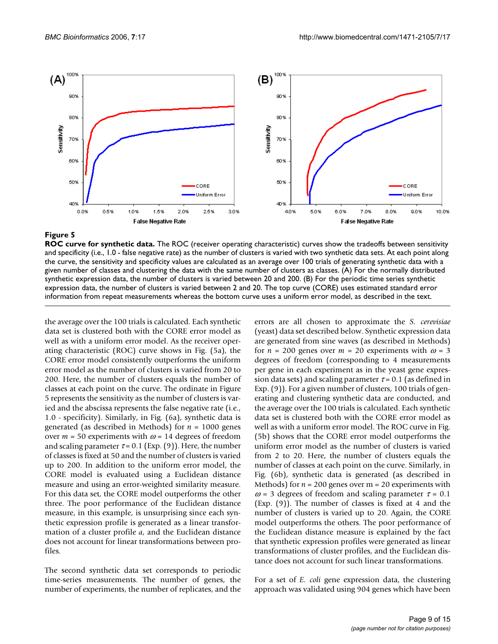

**ROC curve for synthetic data.** The ROC (receiver operating characteristic) curves show the tradeoffs between sensitivity and specificity (i.e., 1.0 - false negative rate) as the number of clusters is varied with two synthetic data sets. At each point along the curve, the sensitivity and specificity values are calculated as an average over 100 trials of generating synthetic data with a given number of classes and clustering the data with the same number of clusters as classes. (A) For the normally distributed synthetic expression data, the number of clusters is varied between 20 and 200. (B) For the periodic time series synthetic expression data, the number of clusters is varied between 2 and 20. The top curve (CORE) uses estimated standard error information from repeat measurements whereas the bottom curve uses a uniform error model, as described in the text.

the average over the 100 trials is calculated. Each synthetic data set is clustered both with the CORE error model as well as with a uniform error model. As the receiver operating characteristic (ROC) curve shows in Fig. (5a), the CORE error model consistently outperforms the uniform error model as the number of clusters is varied from 20 to 200. Here, the number of clusters equals the number of classes at each point on the curve. The ordinate in Figure 5 represents the sensitivity as the number of clusters is varied and the abscissa represents the false negative rate (i.e., 1.0 - specificity). Similarly, in Fig. (6a), synthetic data is generated (as described in Methods) for *n* = 1000 genes over  $m = 50$  experiments with  $\omega = 14$  degrees of freedom and scaling parameter  $\tau$  = 0.1 (Exp. (9)). Here, the number of classes is fixed at 50 and the number of clusters is varied up to 200. In addition to the uniform error model, the CORE model is evaluated using a Euclidean distance measure and using an error-weighted similarity measure. For this data set, the CORE model outperforms the other three. The poor performance of the Euclidean distance measure, in this example, is unsurprising since each synthetic expression profile is generated as a linear transformation of a cluster profile *a*, and the Euclidean distance does not account for linear transformations between profiles.

The second synthetic data set corresponds to periodic time-series measurements. The number of genes, the number of experiments, the number of replicates, and the errors are all chosen to approximate the *S. cerevisiae* (yeast) data set described below. Synthetic expression data are generated from sine waves (as described in Methods) for  $n = 200$  genes over  $m = 20$  experiments with  $\omega = 3$ degrees of freedom (corresponding to 4 measurements per gene in each experiment as in the yeast gene expression data sets) and scaling parameter  $\tau$  = 0.1 (as defined in Exp. (9)). For a given number of clusters, 100 trials of generating and clustering synthetic data are conducted, and the average over the 100 trials is calculated. Each synthetic data set is clustered both with the CORE error model as well as with a uniform error model. The ROC curve in Fig. (5b) shows that the CORE error model outperforms the uniform error model as the number of clusters is varied from 2 to 20. Here, the number of clusters equals the number of classes at each point on the curve. Similarly, in Fig. (6b), synthetic data is generated (as described in Methods) for  $n = 200$  genes over  $m = 20$  experiments with  $\omega$  = 3 degrees of freedom and scaling parameter  $\tau$  = 0.1 (Exp. (9)). The number of classes is fixed at 4 and the number of clusters is varied up to 20. Again, the CORE model outperforms the others. The poor performance of the Euclidean distance measure is explained by the fact that synthetic expression profiles were generated as linear transformations of cluster profiles, and the Euclidean distance does not account for such linear transformations.

For a set of *E. coli* gene expression data, the clustering approach was validated using 904 genes which have been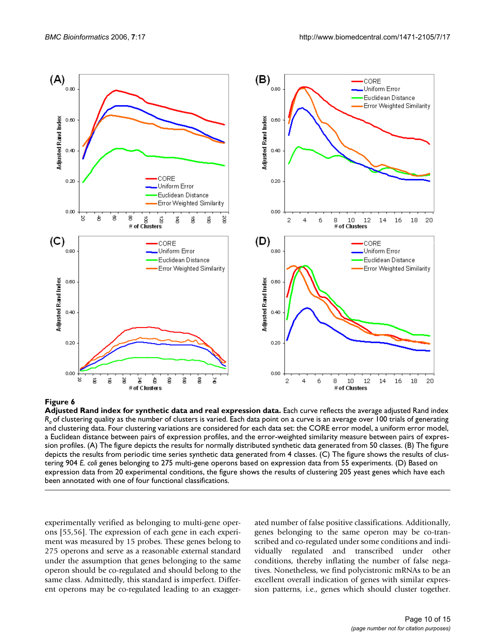

**Adjusted Rand index for synthetic data and real expression data.** Each curve reflects the average adjusted Rand index *R<sub>a</sub>* of clustering quality as the number of clusters is varied. Each data point on a curve is an average over 100 trials of generating and clustering data. Four clustering variations are considered for each data set: the CORE error model, a uniform error model, a Euclidean distance between pairs of expression profiles, and the error-weighted similarity measure between pairs of expression profiles. (A) The figure depicts the results for normally distributed synthetic data generated from 50 classes. (B) The figure depicts the results from periodic time series synthetic data generated from 4 classes. (C) The figure shows the results of clustering 904 *E. coli* genes belonging to 275 multi-gene operons based on expression data from 55 experiments. (D) Based on expression data from 20 experimental conditions, the figure shows the results of clustering 205 yeast genes which have each been annotated with one of four functional classifications.

experimentally verified as belonging to multi-gene operons [55,56]. The expression of each gene in each experiment was measured by 15 probes. These genes belong to 275 operons and serve as a reasonable external standard under the assumption that genes belonging to the same operon should be co-regulated and should belong to the same class. Admittedly, this standard is imperfect. Different operons may be co-regulated leading to an exaggerated number of false positive classifications. Additionally, genes belonging to the same operon may be co-transcribed and co-regulated under some conditions and individually regulated and transcribed under other conditions, thereby inflating the number of false negatives. Nonetheless, we find polycistronic mRNAs to be an excellent overall indication of genes with similar expression patterns, i.e., genes which should cluster together.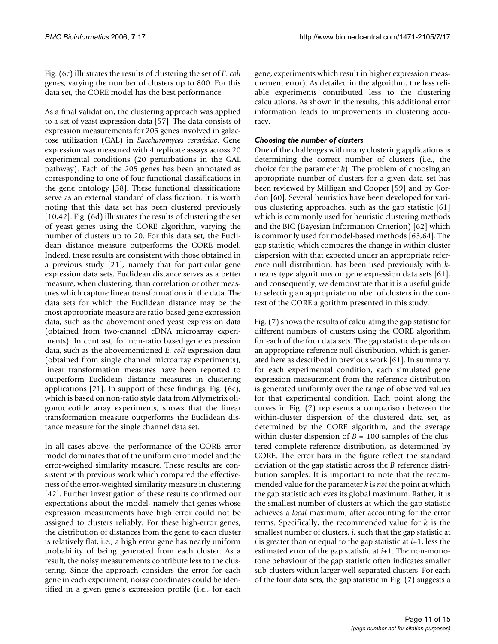Fig. (6c) illustrates the results of clustering the set of *E. coli* genes, varying the number of clusters up to 800. For this data set, the CORE model has the best performance.

As a final validation, the clustering approach was applied to a set of yeast expression data [57]. The data consists of expression measurements for 205 genes involved in galactose utilization (GAL) in *Saccharomyces cerevisiae*. Gene expression was measured with 4 replicate assays across 20 experimental conditions (20 perturbations in the GAL pathway). Each of the 205 genes has been annotated as corresponding to one of four functional classifications in the gene ontology [58]. These functional classifications serve as an external standard of classification. It is worth noting that this data set has been clustered previously [10,42]. Fig. (6d) illustrates the results of clustering the set of yeast genes using the CORE algorithm, varying the number of clusters up to 20. For this data set, the Euclidean distance measure outperforms the CORE model. Indeed, these results are consistent with those obtained in a previous study [21], namely that for particular gene expression data sets, Euclidean distance serves as a better measure, when clustering, than correlation or other measures which capture linear transformations in the data. The data sets for which the Euclidean distance may be the most appropriate measure are ratio-based gene expression data, such as the abovementioned yeast expression data (obtained from two-channel cDNA microarray experiments). In contrast, for non-ratio based gene expression data, such as the abovementioned *E. coli* expression data (obtained from single channel microarray experiments), linear transformation measures have been reported to outperform Euclidean distance measures in clustering applications [21]. In support of these findings, Fig. (6c), which is based on non-ratio style data from Affymetrix oligonucleotide array experiments, shows that the linear transformation measure outperforms the Euclidean distance measure for the single channel data set.

In all cases above, the performance of the CORE error model dominates that of the uniform error model and the error-weighed similarity measure. These results are consistent with previous work which compared the effectiveness of the error-weighted similarity measure in clustering [42]. Further investigation of these results confirmed our expectations about the model, namely that genes whose expression measurements have high error could not be assigned to clusters reliably. For these high-error genes, the distribution of distances from the gene to each cluster is relatively flat, i.e., a high error gene has nearly uniform probability of being generated from each cluster. As a result, the noisy measurements contribute less to the clustering. Since the approach considers the error for each gene in each experiment, noisy coordinates could be identified in a given gene's expression profile (i.e., for each

gene, experiments which result in higher expression measurement error). As detailed in the algorithm, the less reliable experiments contributed less to the clustering calculations. As shown in the results, this additional error information leads to improvements in clustering accuracy.

# *Choosing the number of clusters*

One of the challenges with many clustering applications is determining the correct number of clusters (i.e., the choice for the parameter *k*). The problem of choosing an appropriate number of clusters for a given data set has been reviewed by Milligan and Cooper [59] and by Gordon [60]. Several heuristics have been developed for various clustering approaches, such as the gap statistic [61] which is commonly used for heuristic clustering methods and the BIC (Bayesian Information Criterion) [62] which is commonly used for model-based methods [63,64]. The gap statistic, which compares the change in within-cluster dispersion with that expected under an appropriate reference null distribution, has been used previously with *k*means type algorithms on gene expression data sets [61], and consequently, we demonstrate that it is a useful guide to selecting an appropriate number of clusters in the context of the CORE algorithm presented in this study.

Fig. (7) shows the results of calculating the gap statistic for different numbers of clusters using the CORE algorithm for each of the four data sets. The gap statistic depends on an appropriate reference null distribution, which is generated here as described in previous work [61]. In summary, for each experimental condition, each simulated gene expression measurement from the reference distribution is generated uniformly over the range of observed values for that experimental condition. Each point along the curves in Fig. (7) represents a comparison between the within-cluster dispersion of the clustered data set, as determined by the CORE algorithm, and the average within-cluster dispersion of *B =* 100 samples of the clustered complete reference distribution, as determined by CORE. The error bars in the figure reflect the standard deviation of the gap statistic across the *B* reference distribution samples. It is important to note that the recommended value for the parameter *k* is *not* the point at which the gap statistic achieves its global maximum. Rather, it is the smallest number of clusters at which the gap statistic achieves a *local* maximum, after accounting for the error terms. Specifically, the recommended value for *k* is the smallest number of clusters, *i*, such that the gap statistic at *i* is greater than or equal to the gap statistic at *i*+1, less the estimated error of the gap statistic at *i*+1. The non-monotone behaviour of the gap statistic often indicates smaller sub-clusters within larger well-separated clusters. For each of the four data sets, the gap statistic in Fig. (7) suggests a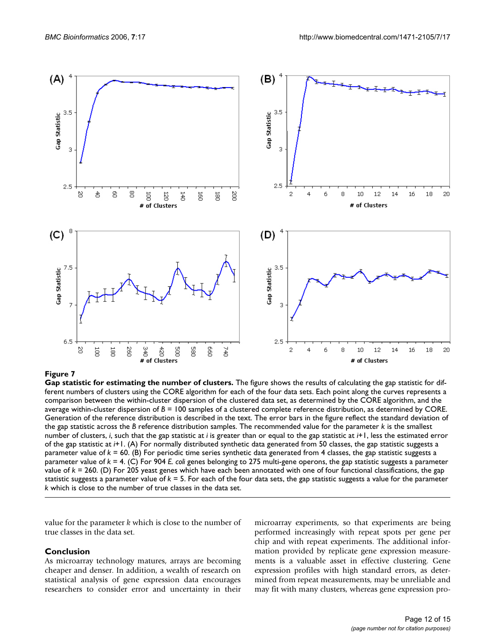

**Gap statistic for estimating the number of clusters.** The figure shows the results of calculating the gap statistic for different numbers of clusters using the CORE algorithm for each of the four data sets. Each point along the curves represents a comparison between the within-cluster dispersion of the clustered data set, as determined by the CORE algorithm, and the average within-cluster dispersion of *B* = 100 samples of a clustered complete reference distribution, as determined by CORE. Generation of the reference distribution is described in the text. The error bars in the figure reflect the standard deviation of the gap statistic across the *B* reference distribution samples. The recommended value for the parameter *k* is the smallest number of clusters, *i*, such that the gap statistic at *i* is greater than or equal to the gap statistic at *i*+1, less the estimated error of the gap statistic at *i*+1. (A) For normally distributed synthetic data generated from 50 classes, the gap statistic suggests a parameter value of *k* = 60. (B) For periodic time series synthetic data generated from 4 classes, the gap statistic suggests a parameter value of *k* = 4. (C) For 904 *E. coli* genes belonging to 275 multi-gene operons, the gap statistic suggests a parameter value of *k* = 260. (D) For 205 yeast genes which have each been annotated with one of four functional classifications, the gap statistic suggests a parameter value of *k* = 5. For each of the four data sets, the gap statistic suggests a value for the parameter *k* which is close to the number of true classes in the data set.

value for the parameter *k* which is close to the number of true classes in the data set.

# **Conclusion**

As microarray technology matures, arrays are becoming cheaper and denser. In addition, a wealth of research on statistical analysis of gene expression data encourages researchers to consider error and uncertainty in their microarray experiments, so that experiments are being performed increasingly with repeat spots per gene per chip and with repeat experiments. The additional information provided by replicate gene expression measurements is a valuable asset in effective clustering. Gene expression profiles with high standard errors, as determined from repeat measurements, may be unreliable and may fit with many clusters, whereas gene expression pro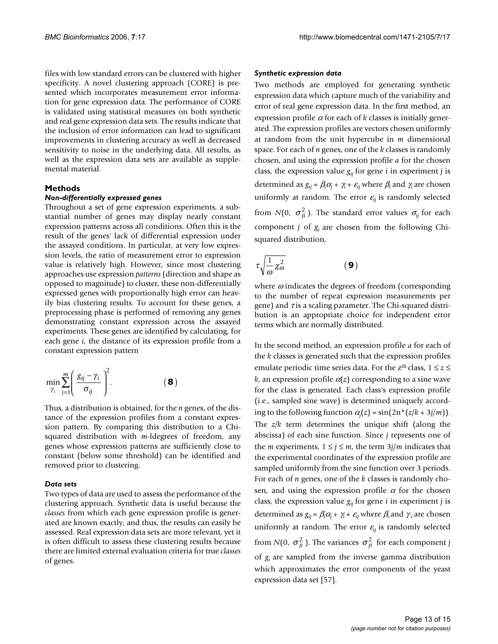files with low standard errors can be clustered with higher specificity. A novel clustering approach (CORE) is presented which incorporates measurement error information for gene expression data. The performance of CORE is validated using statistical measures on both synthetic and real gene expression data sets. The results indicate that the inclusion of error information can lead to significant improvements in clustering accuracy as well as decreased sensitivity to noise in the underlying data. All results, as well as the expression data sets are available as supplemental material.

# **Methods**

# *Non-differentially expressed genes*

Throughout a set of gene expression experiments, a substantial number of genes may display nearly constant expression patterns across all conditions. Often this is the result of the genes' lack of differential expression under the assayed conditions. In particular, at very low expression levels, the ratio of measurement error to expression value is relatively high. However, since most clustering approaches use expression *patterns* (direction and shape as opposed to magnitude) to cluster, these non-differentially expressed genes with proportionally high error can heavily bias clustering results. To account for these genes, a preprocessing phase is performed of removing any genes demonstrating constant expression across the assayed experiments. These genes are identified by calculating, for each gene *i*, the distance of its expression profile from a constant expression pattern

$$
\min_{\gamma_i} \sum_{j=1}^m \left( \frac{g_{ij} - \gamma_i}{\sigma_{ij}} \right)^2.
$$
 (8)

Thus, a distribution is obtained, for the *n* genes, of the distance of the expression profiles from a constant expression pattern. By comparing this distribution to a Chisquared distribution with *m*-ldegrees of freedom, any genes whose expression patterns are sufficiently close to constant (below some threshold) can be identified and removed prior to clustering.

# *Data sets*

Two types of data are used to assess the performance of the clustering approach. Synthetic data is useful because the *classes* from which each gene expression profile is generated are known exactly, and thus, the results can easily be assessed. Real expression data sets are more relevant, yet it is often difficult to assess these clustering results because there are limited external evaluation criteria for true *classes* of genes.

#### *Synthetic expression data*

Two methods are employed for generating synthetic expression data which capture much of the variability and error of real gene expression data. In the first method, an expression profile  $\alpha$  for each of  $k$  classes is initially generated. The expression profiles are vectors chosen uniformly at random from the unit hypercube in *m* dimensional space. For each of *n* genes, one of the *k* classes is randomly chosen, and using the expression profile *a* for the chosen class, the expression value  $g_{ij}$  for gene *i* in experiment *j* is determined as  $g_{ij} = \beta_i \alpha_j + \gamma_i + \varepsilon_{ij}$  where  $\beta_i$  and  $\gamma_i$  are chosen uniformly at random. The error  $\varepsilon_{ij}$  is randomly selected from *N*(0,  $\sigma_{ji}^2$ ). The standard error values  $\sigma_{ij}$  for each component *j* of  $g_i$  are chosen from the following Chisquared distribution,

$$
\tau \sqrt{\frac{1}{\omega} \chi_{\omega}^2} \tag{9}
$$

where  $\omega$  indicates the degrees of freedom (corresponding to the number of repeat expression measurements per gene) and  $\tau$  is a scaling parameter. The Chi-squared distribution is an appropriate choice for independent error terms which are normally distributed.

In the second method, an expression profile *a* for each of the *k* classes is generated such that the expression profiles emulate periodic time series data. For the z<sup>th</sup> class,  $1 \le z \le$ *k*, an expression profile  $\alpha(z)$  corresponding to a sine wave for the class is generated. Each class's expression profile (i.e., sampled sine wave) is determined uniquely according to the following function  $\alpha_j(z) = \sin(2n^*(z/k + 3j/m))$ . The *z/k* term determines the unique shift (along the abscissa) of each sine function. Since *j* represents one of the *m* experiments,  $1 \le j \le m$ , the term  $3j/m$  indicates that the experimental coordinates of the expression profile are sampled uniformly from the sine function over 3 periods. For each of *n* genes, one of the *k* classes is randomly chosen, and using the expression profile  $\alpha$  for the chosen class, the expression value  $g_{ij}$  for gene  $i$  in experiment  $j$  is determined as  $g_{ij} = \beta_i \alpha_j + \gamma_i + \varepsilon_{ij}$  where  $\beta_i$  and  $\gamma_i$  are chosen uniformly at random. The error  $\varepsilon_{ij}$  is randomly selected from *N*(0,  $\sigma_{ji}^2$  ). The variances  $\sigma_{ji}^2$  for each component *j* of *gi* are sampled from the inverse gamma distribution which approximates the error components of the yeast expression data set [57].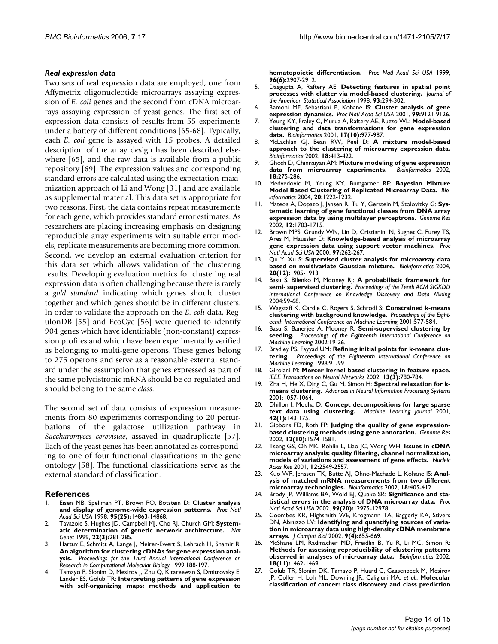## *Real expression data*

Two sets of real expression data are employed, one from Affymetrix oligonucleotide microarrays assaying expression of *E. coli* genes and the second from cDNA microarrays assaying expression of yeast genes. The first set of expression data consists of results from 55 experiments under a battery of different conditions [[65](#page-14-0)-68]. Typically, each *E. coli* gene is assayed with 15 probes. A detailed description of the array design has been described elsewhere [[65](#page-14-0)], and the raw data is available from a public repository [69]. The expression values and corresponding standard errors are calculated using the expectation-maximization approach of Li and Wong [31] and are available as supplemental material. This data set is appropriate for two reasons. First, the data contains repeat measurements for each gene, which provides standard error estimates. As researchers are placing increasing emphasis on designing reproducible array experiments with suitable error models, replicate measurements are becoming more common. Second, we develop an external evaluation criterion for this data set which allows validation of the clustering results. Developing evaluation metrics for clustering real expression data is often challenging because there is rarely a *gold standard* indicating which genes should cluster together and which genes should be in different clusters. In order to validate the approach on the *E. coli* data, RegulonDB [55] and EcoCyc [56] were queried to identify 904 genes which have identifiable (non-constant) expression profiles and which have been experimentally verified as belonging to multi-gene operons. These genes belong to 275 operons and serve as a reasonable external standard under the assumption that genes expressed as part of the same polycistronic mRNA should be co-regulated and should belong to the same *class*.

The second set of data consists of expression measurements from 80 experiments corresponding to 20 perturbations of the galactose utilization pathway in *Saccharomyces cerevisiae*, assayed in quadruplicate [57]. Each of the yeast genes has been annotated as corresponding to one of four functional classifications in the gene ontology [58]. The functional classifications serve as the external standard of classification.

# **References**

- 1. Eisen MB, Spellman PT, Brown PO, Botstein D: **[Cluster analysis](http://www.ncbi.nlm.nih.gov/entrez/query.fcgi?cmd=Retrieve&db=PubMed&dopt=Abstract&list_uids=9843981) [and display of genome-wide expression patterns.](http://www.ncbi.nlm.nih.gov/entrez/query.fcgi?cmd=Retrieve&db=PubMed&dopt=Abstract&list_uids=9843981)** *Proc Natl Acad Sci USA* 1998, **95(25):**14863-14868.
- 2. Tavazoie S, Hughes JD, Campbell MJ, Cho RJ, Church GM: **[System](http://www.ncbi.nlm.nih.gov/entrez/query.fcgi?cmd=Retrieve&db=PubMed&dopt=Abstract&list_uids=10391217)[atic determination of genetic network architecture.](http://www.ncbi.nlm.nih.gov/entrez/query.fcgi?cmd=Retrieve&db=PubMed&dopt=Abstract&list_uids=10391217)** *Nat Genet* 1999, **22(3):**281-285.
- Hartuv E, Schmitt A, Lange J, Meirer-Ewert S, Lehrach H, Shamir R: **An algorithm for clustering cDNAs for gene expression analysis.** *Proceedings for the Third Annual International Conference on Research in Computational Molecular Biology* 1999:188-197.
- 4. Tamayo P, Slonim D, Mesirov J, Zhu Q, Kitareewan S, Dmitrovsky E, Lander ES, Golub TR: **[Interpreting patterns of gene expression](http://www.ncbi.nlm.nih.gov/entrez/query.fcgi?cmd=Retrieve&db=PubMed&dopt=Abstract&list_uids=10077610) [with self-organizing maps: methods and application to](http://www.ncbi.nlm.nih.gov/entrez/query.fcgi?cmd=Retrieve&db=PubMed&dopt=Abstract&list_uids=10077610)**

**[hematopoietic differentiation.](http://www.ncbi.nlm.nih.gov/entrez/query.fcgi?cmd=Retrieve&db=PubMed&dopt=Abstract&list_uids=10077610)** *Proc Natl Acad Sci USA* 1999, **96(6):**2907-2912.

- 5. Dasgupta A, Raftery AE: **Detecting features in spatial point processes with clutter via model-based clustering.** *Journal of the American Statistical Association* 1998, **93:**294-302.
- 6. Ramoni MF, Sebastiani P, Kohane IS: **Cluster analysis of gene expression dynamics.** *Proc Natl Acad Sci USA* 2001, **99:**9121-9126.
- 7. Yeung KY, Fraley C, Murua A, Raftery AE, Ruzzo WL: **[Model-based](http://www.ncbi.nlm.nih.gov/entrez/query.fcgi?cmd=Retrieve&db=PubMed&dopt=Abstract&list_uids=11673243) [clustering and data transformations for gene expression](http://www.ncbi.nlm.nih.gov/entrez/query.fcgi?cmd=Retrieve&db=PubMed&dopt=Abstract&list_uids=11673243) [data.](http://www.ncbi.nlm.nih.gov/entrez/query.fcgi?cmd=Retrieve&db=PubMed&dopt=Abstract&list_uids=11673243)** *Bioinformatics* 2001, **17(10):**977-987.
- 8. McLachlan GJ, Bean RW, Peel D: **[A mixture model-based](http://www.ncbi.nlm.nih.gov/entrez/query.fcgi?cmd=Retrieve&db=PubMed&dopt=Abstract&list_uids=11934740) [approach to the clustering of microarray expression data.](http://www.ncbi.nlm.nih.gov/entrez/query.fcgi?cmd=Retrieve&db=PubMed&dopt=Abstract&list_uids=11934740)** *Bioinformatics* 2002, **18:**413-422.
- 9. Ghosh D, Chinnaiyan AM: **[Mixture modeling of gene expression](http://www.ncbi.nlm.nih.gov/entrez/query.fcgi?cmd=Retrieve&db=PubMed&dopt=Abstract&list_uids=11847075)** [data from microarray experiments.](http://www.ncbi.nlm.nih.gov/entrez/query.fcgi?cmd=Retrieve&db=PubMed&dopt=Abstract&list_uids=11847075) **18:**275-286.
- 10. Medvedovic M, Yeung KY, Bumgarner RE: **[Bayesian Mixture](http://www.ncbi.nlm.nih.gov/entrez/query.fcgi?cmd=Retrieve&db=PubMed&dopt=Abstract&list_uids=14871871) [Model Based Clustering of Replicated Microarray Data.](http://www.ncbi.nlm.nih.gov/entrez/query.fcgi?cmd=Retrieve&db=PubMed&dopt=Abstract&list_uids=14871871)** *Bioinformatics* 2004, **20:**1222-1232.
- 11. Mateos A, Dopazo J, Jansen R, Tu Y, Gerstein M, Stolovizky G: **[Sys](http://www.ncbi.nlm.nih.gov/entrez/query.fcgi?cmd=Retrieve&db=PubMed&dopt=Abstract&list_uids=12421757)[tematic learning of gene functional classes from DNA array](http://www.ncbi.nlm.nih.gov/entrez/query.fcgi?cmd=Retrieve&db=PubMed&dopt=Abstract&list_uids=12421757) [expression data by using multilayer perceptrons.](http://www.ncbi.nlm.nih.gov/entrez/query.fcgi?cmd=Retrieve&db=PubMed&dopt=Abstract&list_uids=12421757)** *Genome Res* 2002, **12:**1703-1715.
- 12. Brown MPS, Grundy WN, Lin D, Cristianini N, Sugnet C, Furey TS, Ares M, Haussler D: **[Knowledge-based analysis of microarray](http://www.ncbi.nlm.nih.gov/entrez/query.fcgi?cmd=Retrieve&db=PubMed&dopt=Abstract&list_uids=10618406) [gene expression data using support vector machines.](http://www.ncbi.nlm.nih.gov/entrez/query.fcgi?cmd=Retrieve&db=PubMed&dopt=Abstract&list_uids=10618406)** *Proc Natl Acad Sci USA* 2000, **97:**262-267.
- 13. Qu Y, Xu S: **[Supervised cluster analysis for microarray data](http://www.ncbi.nlm.nih.gov/entrez/query.fcgi?cmd=Retrieve&db=PubMed&dopt=Abstract&list_uids=15044244) [based on multivariate Gaussian mixture.](http://www.ncbi.nlm.nih.gov/entrez/query.fcgi?cmd=Retrieve&db=PubMed&dopt=Abstract&list_uids=15044244)** *Bioinformatics* 2004, **20(12):**1905-1913.
- 14. Basu S, Bilenko M, Mooney RJ: **A probabilistic framework for semi- supervised clustering.** *Proceedings of the Tenth ACM SIGKDD International Conference on Knowledge Discovery and Data Mining* 2004:59-68.
- 15. Wagstaff K, Cardie C, Rogers S, Schrodl S: **Constrained k-means clustering with background knowledge.** *Proceedings of the Eighteenth International Conference on Machine Learning* 2001:577-584.
- 16. Basu S, Banerjee A, Mooney R: **Semi-supervised clustering by seeding.** *Proceedings of the Eighteenth International Conference on Machine Learning* 2002:19-26.
- 17. Bradley PS, Fayyad UM: **Refining initial points for k-means clustering.** *Proceedings of the Eighteenth International Conference on Machine Learning* 1998:91-99.
- 18. Girolani M: **Mercer kernel based clustering in feature space.** *IEEE Transactions on Neural Networks* 2002, **13(3):**780-784.
- 19. Zha H, He X, Ding C, Gu M, Simon H: **Spectral relaxation for kmeans clustering.** *Advances in Neural Information Processing Systems* 2001:1057-1064.
- 20. Dhillon I, Modha D: **Concept decompositions for large sparse text data using clustering.** *Machine Learning Journal* 2001, **42(1):**143-175.
- 21. Gibbons FD, Roth FP: **[Judging the quality of gene expression](http://www.ncbi.nlm.nih.gov/entrez/query.fcgi?cmd=Retrieve&db=PubMed&dopt=Abstract&list_uids=12368250)[based clustering methods using gene annotation.](http://www.ncbi.nlm.nih.gov/entrez/query.fcgi?cmd=Retrieve&db=PubMed&dopt=Abstract&list_uids=12368250)** *Genome Res* 2002, **12(10):**1574-1581.
- 22. Tseng GS, Oh MK, Rohlin L, Liao JC, Wong WH: **Issues in cDNA microarray analysis: quality filtering, channel normalization, models of variations and assessment of gene effects.** *Nucleic Acids Res* 2001, **12:**2549-2557.
- 23. Kuo WP, Jenssen TK, Butte AJ, Ohno-Machado L, Kohane IS: **[Anal](http://www.ncbi.nlm.nih.gov/entrez/query.fcgi?cmd=Retrieve&db=PubMed&dopt=Abstract&list_uids=11934739)[ysis of matched mRNA measurements from two different](http://www.ncbi.nlm.nih.gov/entrez/query.fcgi?cmd=Retrieve&db=PubMed&dopt=Abstract&list_uids=11934739) [microarray technologies.](http://www.ncbi.nlm.nih.gov/entrez/query.fcgi?cmd=Retrieve&db=PubMed&dopt=Abstract&list_uids=11934739)** *Bioinformatics* 2002, **18:**405-412.
- 24. Brody JP, Williams BA, Wold BJ, Quake SR: **[Significance and sta](http://www.ncbi.nlm.nih.gov/entrez/query.fcgi?cmd=Retrieve&db=PubMed&dopt=Abstract&list_uids=12235357)[tistical errors in the analysis of DNA microarray data.](http://www.ncbi.nlm.nih.gov/entrez/query.fcgi?cmd=Retrieve&db=PubMed&dopt=Abstract&list_uids=12235357)** *Proc Natl Acad Sci USA* 2002, **99(20):**12975-12978.
- 25. Coombes KR, Highsmith WE, Krogmann TA, Baggerly KA, Stivers DN, Abruzzo LV: **[Identifying and quantifying sources of varia](http://www.ncbi.nlm.nih.gov/entrez/query.fcgi?cmd=Retrieve&db=PubMed&dopt=Abstract&list_uids=12323099)[tion in microarray data using high-density cDNA membrane](http://www.ncbi.nlm.nih.gov/entrez/query.fcgi?cmd=Retrieve&db=PubMed&dopt=Abstract&list_uids=12323099) [arrays.](http://www.ncbi.nlm.nih.gov/entrez/query.fcgi?cmd=Retrieve&db=PubMed&dopt=Abstract&list_uids=12323099)** *J Comput Biol* 2002, **9(4):**655-669.
- 26. McShane LM, Radmacher MD, Freidlin B, Yu R, Li MC, Simon R: **[Methods for assessing reproducibility of clustering patterns](http://www.ncbi.nlm.nih.gov/entrez/query.fcgi?cmd=Retrieve&db=PubMed&dopt=Abstract&list_uids=12424117) [observed in analyses of microarray data.](http://www.ncbi.nlm.nih.gov/entrez/query.fcgi?cmd=Retrieve&db=PubMed&dopt=Abstract&list_uids=12424117)** *Bioinformatics* 2002, **18(11):**1462-1469.
- 27. Golub TR, Slonim DK, Tamayo P, Huard C, Gaasenbeek M, Mesirov JP, Coller H, Loh ML, Downing JR, Caligiuri MA, *et al.*: **[Molecular](http://www.ncbi.nlm.nih.gov/entrez/query.fcgi?cmd=Retrieve&db=PubMed&dopt=Abstract&list_uids=10521349) [classification of cancer: class discovery and class prediction](http://www.ncbi.nlm.nih.gov/entrez/query.fcgi?cmd=Retrieve&db=PubMed&dopt=Abstract&list_uids=10521349)**